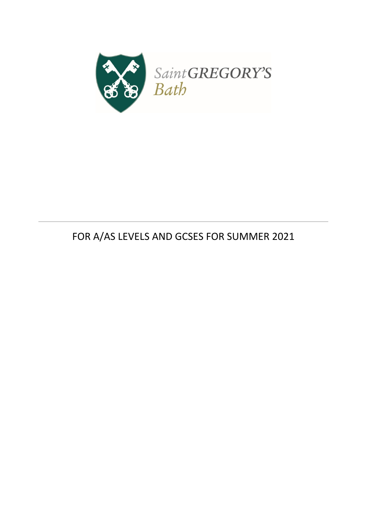

# FOR A/AS LEVELS AND GCSES FOR SUMMER 2021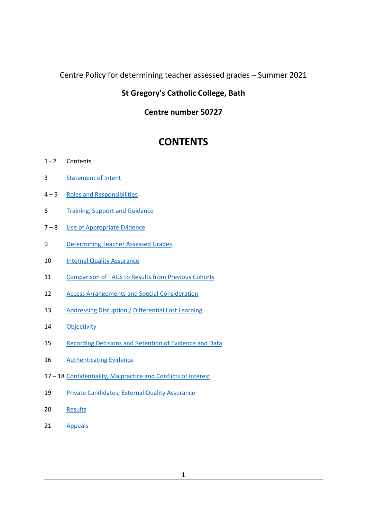### Centre Policy for determining teacher assessed grades – Summer 2021

### **St Gregory's Catholic College, Bath**

### **Centre number 50727**

## **CONTENTS**

- 2 Contents
- [Statement of Intent](#page-3-0)
- 5 [Roles and Responsibilities](#page-4-0)
- [Training, Support and Guidance](#page-6-0)
- 8 [Use of Appropriate Evidence](#page-7-0)
- [Determining Teacher Assessed Grades](#page-9-0)
- [Internal Quality Assurance](#page-10-0)
- [Comparison of TAGs to Results from Previous Cohorts](#page-11-0)
- [Access Arrangements and Special Consideration](#page-11-1)
- [Addressing Disruption / Differential Lost Learning](#page-13-0)
- [Objectivity](#page-14-0)
- [Recording Decisions and Retention of Evidence and Data](#page-15-0)
- [Authenticating Evidence](#page-16-0)
- 18 [Confidentiality, Malpractice and Conflicts of Interest](#page-17-0)
- [Private Candidates; External Quality Assurance](#page-19-0)
- [Results](#page-20-0)
- [Appeals](#page-21-0)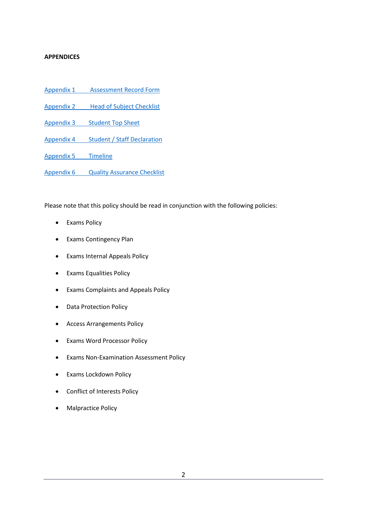#### **APPENDICES**

- Appendix 1 [Assessment Record](#page-22-0) Form
- Appendix 2 [Head of Subject Checklist](#page-26-0)
- Appendix 3 [Student Top Sheet](#page-29-0)
- Appendix 4 [Student / Staff Declaration](#page-32-0)
- [Appendix 5](#page-32-1) Timeline

Appendix 6 [Quality Assurance Checklist](#page-34-0)

Please note that this policy should be read in conjunction with the following policies:

- Exams Policy
- Exams Contingency Plan
- Exams Internal Appeals Policy
- Exams Equalities Policy
- Exams Complaints and Appeals Policy
- Data Protection Policy
- Access Arrangements Policy
- Exams Word Processor Policy
- Exams Non-Examination Assessment Policy
- Exams Lockdown Policy
- Conflict of Interests Policy
- Malpractice Policy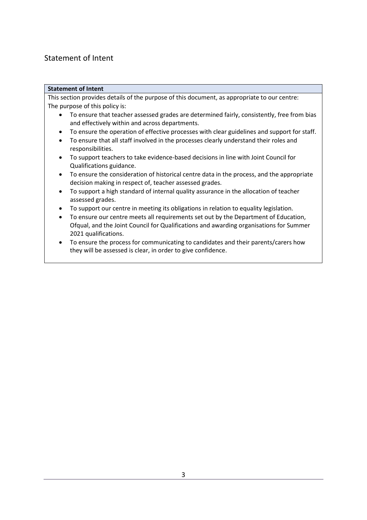## <span id="page-3-0"></span>Statement of Intent

#### **Statement of Intent**

This section provides details of the purpose of this document, as appropriate to our centre: The purpose of this policy is:

- To ensure that teacher assessed grades are determined fairly, consistently, free from bias and effectively within and across departments.
- To ensure the operation of effective processes with clear guidelines and support for staff.
- To ensure that all staff involved in the processes clearly understand their roles and responsibilities.
- To support teachers to take evidence-based decisions in line with Joint Council for Qualifications guidance.
- To ensure the consideration of historical centre data in the process, and the appropriate decision making in respect of, teacher assessed grades.
- To support a high standard of internal quality assurance in the allocation of teacher assessed grades.
- To support our centre in meeting its obligations in relation to equality legislation.
- To ensure our centre meets all requirements set out by the Department of Education, Ofqual, and the Joint Council for Qualifications and awarding organisations for Summer 2021 qualifications.
- To ensure the process for communicating to candidates and their parents/carers how they will be assessed is clear, in order to give confidence.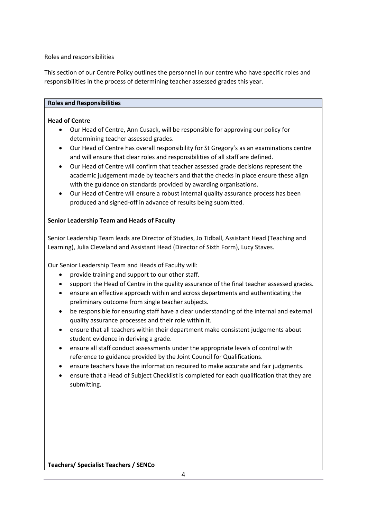<span id="page-4-0"></span>Roles and responsibilities

This section of our Centre Policy outlines the personnel in our centre who have specific roles and responsibilities in the process of determining teacher assessed grades this year.

#### **Roles and Responsibilities**

#### **Head of Centre**

- Our Head of Centre, Ann Cusack, will be responsible for approving our policy for determining teacher assessed grades.
- Our Head of Centre has overall responsibility for St Gregory's as an examinations centre and will ensure that clear roles and responsibilities of all staff are defined.
- Our Head of Centre will confirm that teacher assessed grade decisions represent the academic judgement made by teachers and that the checks in place ensure these align with the guidance on standards provided by awarding organisations.
- Our Head of Centre will ensure a robust internal quality assurance process has been produced and signed-off in advance of results being submitted.

#### **Senior Leadership Team and Heads of Faculty**

Senior Leadership Team leads are Director of Studies, Jo Tidball, Assistant Head (Teaching and Learning), Julia Cleveland and Assistant Head (Director of Sixth Form), Lucy Staves.

Our Senior Leadership Team and Heads of Faculty will:

- provide training and support to our other staff.
- support the Head of Centre in the quality assurance of the final teacher assessed grades.
- ensure an effective approach within and across departments and authenticating the preliminary outcome from single teacher subjects.
- be responsible for ensuring staff have a clear understanding of the internal and external quality assurance processes and their role within it.
- ensure that all teachers within their department make consistent judgements about student evidence in deriving a grade.
- ensure all staff conduct assessments under the appropriate levels of control with reference to guidance provided by the Joint Council for Qualifications.
- ensure teachers have the information required to make accurate and fair judgments.
- ensure that a Head of Subject Checklist is completed for each qualification that they are submitting.

**Teachers/ Specialist Teachers / SENCo**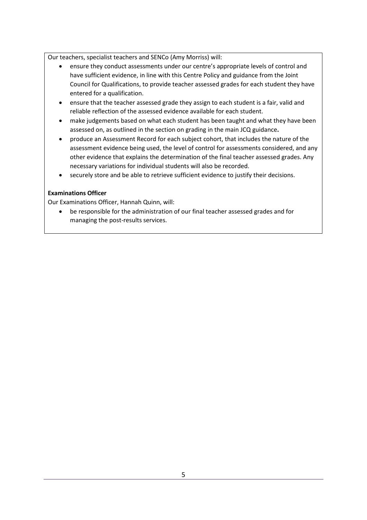Our teachers, specialist teachers and SENCo (Amy Morriss) will:

- ensure they conduct assessments under our centre's appropriate levels of control and have sufficient evidence, in line with this Centre Policy and guidance from the Joint Council for Qualifications, to provide teacher assessed grades for each student they have entered for a qualification.
- ensure that the teacher assessed grade they assign to each student is a fair, valid and reliable reflection of the assessed evidence available for each student.
- make judgements based on what each student has been taught and what they have been assessed on, as outlined in the section on grading in the main JCQ guidance**.**
- produce an Assessment Record for each subject cohort, that includes the nature of the assessment evidence being used, the level of control for assessments considered, and any other evidence that explains the determination of the final teacher assessed grades. Any necessary variations for individual students will also be recorded.
- securely store and be able to retrieve sufficient evidence to justify their decisions.

#### **Examinations Officer**

Our Examinations Officer, Hannah Quinn, will:

• be responsible for the administration of our final teacher assessed grades and for managing the post-results services.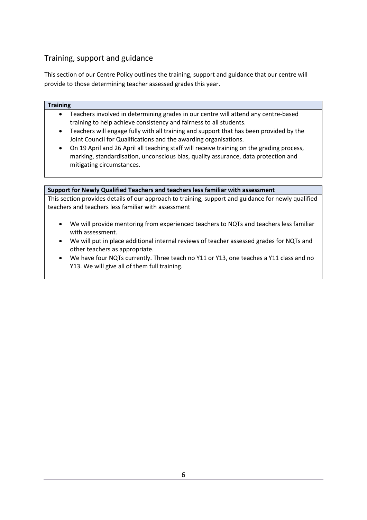## <span id="page-6-0"></span>Training, support and guidance

This section of our Centre Policy outlines the training, support and guidance that our centre will provide to those determining teacher assessed grades this year.

#### **Training**

- Teachers involved in determining grades in our centre will attend any centre-based training to help achieve consistency and fairness to all students.
- Teachers will engage fully with all training and support that has been provided by the Joint Council for Qualifications and the awarding organisations.
- On 19 April and 26 April all teaching staff will receive training on the grading process, marking, standardisation, unconscious bias, quality assurance, data protection and mitigating circumstances.

#### **Support for Newly Qualified Teachers and teachers less familiar with assessment**

This section provides details of our approach to training, support and guidance for newly qualified teachers and teachers less familiar with assessment

- We will provide mentoring from experienced teachers to NQTs and teachers less familiar with assessment.
- We will put in place additional internal reviews of teacher assessed grades for NQTs and other teachers as appropriate.
- We have four NQTs currently. Three teach no Y11 or Y13, one teaches a Y11 class and no Y13. We will give all of them full training.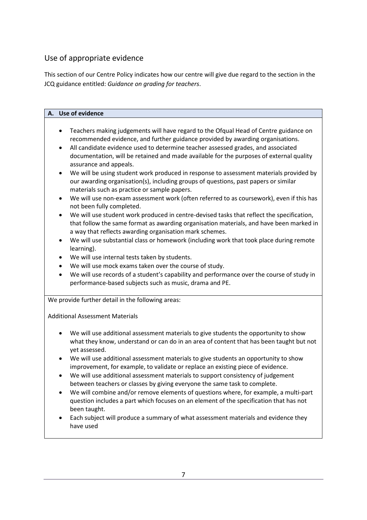## <span id="page-7-0"></span>Use of appropriate evidence

This section of our Centre Policy indicates how our centre will give due regard to the section in the JCQ guidance entitled: *Guidance on grading for teachers*.

|           | A. Use of evidence                                                                                                                                                     |
|-----------|------------------------------------------------------------------------------------------------------------------------------------------------------------------------|
|           |                                                                                                                                                                        |
| $\bullet$ | Teachers making judgements will have regard to the Ofqual Head of Centre guidance on                                                                                   |
|           | recommended evidence, and further guidance provided by awarding organisations.                                                                                         |
| $\bullet$ | All candidate evidence used to determine teacher assessed grades, and associated                                                                                       |
|           | documentation, will be retained and made available for the purposes of external quality                                                                                |
|           | assurance and appeals.                                                                                                                                                 |
| $\bullet$ | We will be using student work produced in response to assessment materials provided by                                                                                 |
|           | our awarding organisation(s), including groups of questions, past papers or similar<br>materials such as practice or sample papers.                                    |
| $\bullet$ | We will use non-exam assessment work (often referred to as coursework), even if this has                                                                               |
|           | not been fully completed.                                                                                                                                              |
| $\bullet$ | We will use student work produced in centre-devised tasks that reflect the specification,                                                                              |
|           | that follow the same format as awarding organisation materials, and have been marked in                                                                                |
|           | a way that reflects awarding organisation mark schemes.                                                                                                                |
| $\bullet$ | We will use substantial class or homework (including work that took place during remote                                                                                |
|           | learning).                                                                                                                                                             |
| $\bullet$ | We will use internal tests taken by students.                                                                                                                          |
| $\bullet$ | We will use mock exams taken over the course of study.                                                                                                                 |
| $\bullet$ | We will use records of a student's capability and performance over the course of study in                                                                              |
|           | performance-based subjects such as music, drama and PE.                                                                                                                |
|           | We provide further detail in the following areas:                                                                                                                      |
|           |                                                                                                                                                                        |
|           | <b>Additional Assessment Materials</b>                                                                                                                                 |
|           |                                                                                                                                                                        |
| $\bullet$ | We will use additional assessment materials to give students the opportunity to show                                                                                   |
|           | what they know, understand or can do in an area of content that has been taught but not                                                                                |
| $\bullet$ | yet assessed.                                                                                                                                                          |
|           | We will use additional assessment materials to give students an opportunity to show<br>improvement, for example, to validate or replace an existing piece of evidence. |
|           | We will use additional assessment materials to support consistency of judgement                                                                                        |
|           | between teachers or classes by giving everyone the same task to complete                                                                                               |
|           | We will combine and/or remove elements of questions where, for example, a multi-part                                                                                   |
|           | question includes a part which focuses on an element of the specification that has not                                                                                 |
|           | been taught.                                                                                                                                                           |
|           | Each subject will produce a summary of what assessment materials and evidence they                                                                                     |
|           | have used                                                                                                                                                              |
|           |                                                                                                                                                                        |
|           |                                                                                                                                                                        |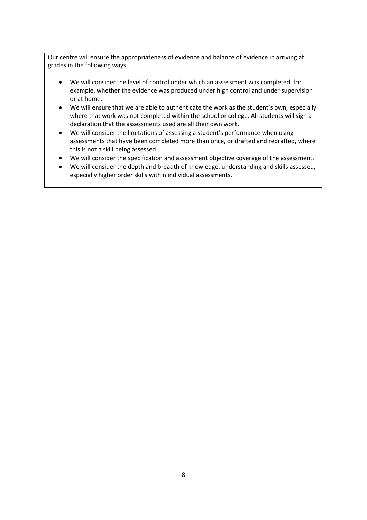Our centre will ensure the appropriateness of evidence and balance of evidence in arriving at grades in the following ways:

- We will consider the level of control under which an assessment was completed, for example, whether the evidence was produced under high control and under supervision or at home.
- We will ensure that we are able to authenticate the work as the student's own, especially where that work was not completed within the school or college. All students will sign a declaration that the assessments used are all their own work.
- We will consider the limitations of assessing a student's performance when using assessments that have been completed more than once, or drafted and redrafted, where this is not a skill being assessed.
- We will consider the specification and assessment objective coverage of the assessment.
- We will consider the depth and breadth of knowledge, understanding and skills assessed, especially higher order skills within individual assessments.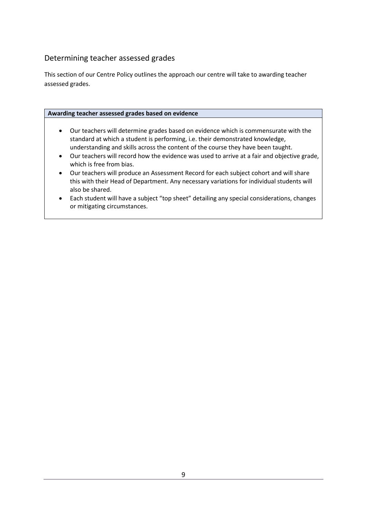## <span id="page-9-0"></span>Determining teacher assessed grades

This section of our Centre Policy outlines the approach our centre will take to awarding teacher assessed grades.

#### **Awarding teacher assessed grades based on evidence**

- Our teachers will determine grades based on evidence which is commensurate with the standard at which a student is performing, i.e. their demonstrated knowledge, understanding and skills across the content of the course they have been taught.
- Our teachers will record how the evidence was used to arrive at a fair and objective grade, which is free from bias.
- Our teachers will produce an Assessment Record for each subject cohort and will share this with their Head of Department. Any necessary variations for individual students will also be shared.
- Each student will have a subject "top sheet" detailing any special considerations, changes or mitigating circumstances.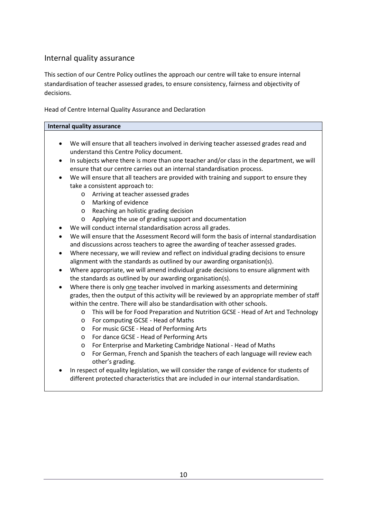### <span id="page-10-0"></span>Internal quality assurance

This section of our Centre Policy outlines the approach our centre will take to ensure internal standardisation of teacher assessed grades, to ensure consistency, fairness and objectivity of decisions.

Head of Centre Internal Quality Assurance and Declaration

#### **Internal quality assurance**

- We will ensure that all teachers involved in deriving teacher assessed grades read and understand this Centre Policy document.
- In subjects where there is more than one teacher and/or class in the department, we will ensure that our centre carries out an internal standardisation process.
- We will ensure that all teachers are provided with training and support to ensure they take a consistent approach to:
	- o Arriving at teacher assessed grades
	- o Marking of evidence
	- o Reaching an holistic grading decision
	- o Applying the use of grading support and documentation
- We will conduct internal standardisation across all grades.
- We will ensure that the Assessment Record will form the basis of internal standardisation and discussions across teachers to agree the awarding of teacher assessed grades.
- Where necessary, we will review and reflect on individual grading decisions to ensure alignment with the standards as outlined by our awarding organisation(s).
- Where appropriate, we will amend individual grade decisions to ensure alignment with the standards as outlined by our awarding organisation(s).
- Where there is only one teacher involved in marking assessments and determining grades, then the output of this activity will be reviewed by an appropriate member of staff within the centre. There will also be standardisation with other schools.
	- o This will be for Food Preparation and Nutrition GCSE Head of Art and Technology
	- o For computing GCSE Head of Maths
	- o For music GCSE Head of Performing Arts
	- o For dance GCSE Head of Performing Arts
	- o For Enterprise and Marketing Cambridge National Head of Maths
	- o For German, French and Spanish the teachers of each language will review each other's grading.
- In respect of equality legislation, we will consider the range of evidence for students of different protected characteristics that are included in our internal standardisation.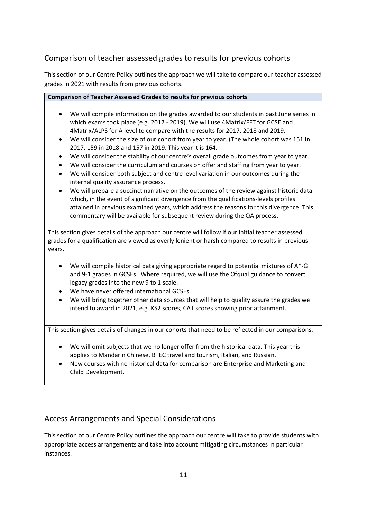## <span id="page-11-0"></span>Comparison of teacher assessed grades to results for previous cohorts

This section of our Centre Policy outlines the approach we will take to compare our teacher assessed grades in 2021 with results from previous cohorts.

#### **Comparison of Teacher Assessed Grades to results for previous cohorts**

- We will compile information on the grades awarded to our students in past June series in which exams took place (e.g. 2017 - 2019). We will use 4Matrix/FFT for GCSE and 4Matrix/ALPS for A level to compare with the results for 2017, 2018 and 2019.
- We will consider the size of our cohort from year to year. (The whole cohort was 151 in 2017, 159 in 2018 and 157 in 2019. This year it is 164.
- We will consider the stability of our centre's overall grade outcomes from year to year.
- We will consider the curriculum and courses on offer and staffing from year to year.
- We will consider both subject and centre level variation in our outcomes during the internal quality assurance process.
- We will prepare a succinct narrative on the outcomes of the review against historic data which, in the event of significant divergence from the qualifications-levels profiles attained in previous examined years, which address the reasons for this divergence. This commentary will be available for subsequent review during the QA process.

This section gives details of the approach our centre will follow if our initial teacher assessed grades for a qualification are viewed as overly lenient or harsh compared to results in previous years.

- We will compile historical data giving appropriate regard to potential mixtures of A\*-G and 9-1 grades in GCSEs. Where required, we will use the Ofqual guidance to convert legacy grades into the new 9 to 1 scale.
- We have never offered international GCSEs.
- We will bring together other data sources that will help to quality assure the grades we intend to award in 2021, e.g. KS2 scores, CAT scores showing prior attainment.

This section gives details of changes in our cohorts that need to be reflected in our comparisons.

- We will omit subjects that we no longer offer from the historical data. This year this applies to Mandarin Chinese, BTEC travel and tourism, Italian, and Russian.
- New courses with no historical data for comparison are Enterprise and Marketing and Child Development.

## <span id="page-11-1"></span>Access Arrangements and Special Considerations

This section of our Centre Policy outlines the approach our centre will take to provide students with appropriate access arrangements and take into account mitigating circumstances in particular instances.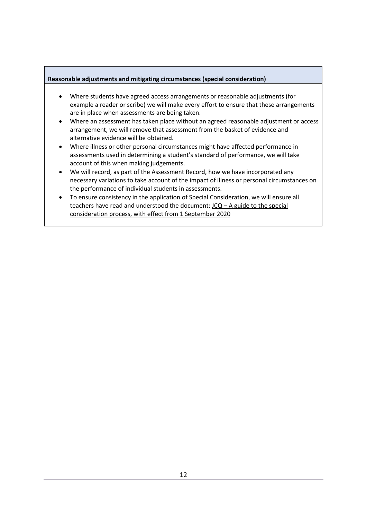#### **Reasonable adjustments and mitigating circumstances (special consideration)**

- Where students have agreed access arrangements or reasonable adjustments (for example a reader or scribe) we will make every effort to ensure that these arrangements are in place when assessments are being taken.
- Where an assessment has taken place without an agreed reasonable adjustment or access arrangement, we will remove that assessment from the basket of evidence and alternative evidence will be obtained.
- Where illness or other personal circumstances might have affected performance in assessments used in determining a student's standard of performance, we will take account of this when making judgements.
- We will record, as part of the Assessment Record, how we have incorporated any necessary variations to take account of the impact of illness or personal circumstances on the performance of individual students in assessments.
- To ensure consistency in the application of Special Consideration, we will ensure all teachers have read and understood the document:  $JCQ - A$  guide to the special [consideration process, with effect from 1 September 2020](https://www.jcq.org.uk/wp-content/uploads/2020/08/A-guide-to-the-spec-con-process-202021-Website-version.pdf)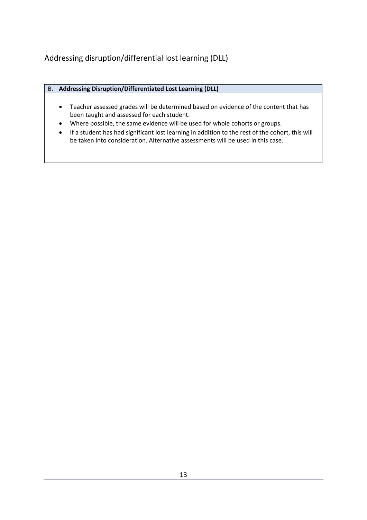<span id="page-13-0"></span>Addressing disruption/differential lost learning (DLL)

| B. Addressing Disruption/Differentiated Lost Learning (DLL) |
|-------------------------------------------------------------|
|                                                             |

- Teacher assessed grades will be determined based on evidence of the content that has been taught and assessed for each student.
- Where possible, the same evidence will be used for whole cohorts or groups.
- If a student has had significant lost learning in addition to the rest of the cohort, this will be taken into consideration. Alternative assessments will be used in this case.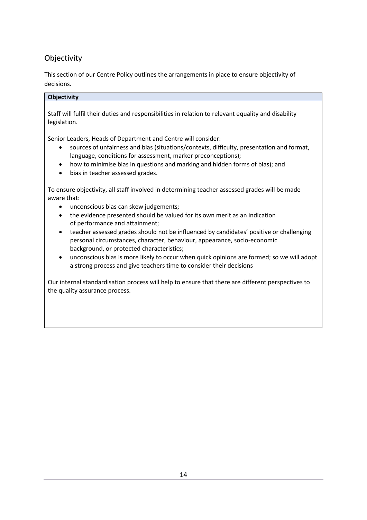## <span id="page-14-0"></span>Objectivity

This section of our Centre Policy outlines the arrangements in place to ensure objectivity of decisions.

#### **Objectivity**

Staff will fulfil their duties and responsibilities in relation to relevant equality and disability legislation.

Senior Leaders, Heads of Department and Centre will consider:

- sources of unfairness and bias (situations/contexts, difficulty, presentation and format, language, conditions for assessment, marker preconceptions);
- how to minimise bias in questions and marking and hidden forms of bias); and
- bias in teacher assessed grades.

To ensure objectivity, all staff involved in determining teacher assessed grades will be made aware that:

- unconscious bias can skew judgements;
- the evidence presented should be valued for its own merit as an indication of performance and attainment;
- teacher assessed grades should not be influenced by candidates' positive or challenging personal circumstances, character, behaviour, appearance, socio-economic background, or protected characteristics;
- unconscious bias is more likely to occur when quick opinions are formed; so we will adopt a strong process and give teachers time to consider their decisions

Our internal standardisation process will help to ensure that there are different perspectives to the quality assurance process.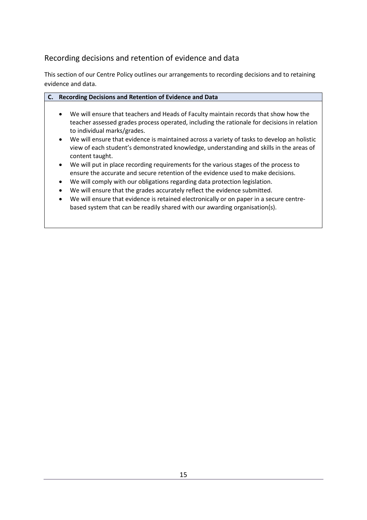## <span id="page-15-0"></span>Recording decisions and retention of evidence and data

This section of our Centre Policy outlines our arrangements to recording decisions and to retaining evidence and data.

| $\mathsf{C}.\mathsf{C}$ | Recording Decisions and Retention of Evidence and Data                                                                                                                                                                          |
|-------------------------|---------------------------------------------------------------------------------------------------------------------------------------------------------------------------------------------------------------------------------|
|                         | We will ensure that teachers and Heads of Faculty maintain records that show how the<br>$\bullet$<br>teacher assessed grades process operated, including the rationale for decisions in relation<br>to individual marks/grades. |
|                         | We will ensure that evidence is maintained across a variety of tasks to develop an holistic<br>$\bullet$                                                                                                                        |
|                         | view of each student's demonstrated knowledge, understanding and skills in the areas of<br>content taught.                                                                                                                      |
|                         | We will put in place recording requirements for the various stages of the process to<br>$\bullet$                                                                                                                               |

- ensure the accurate and secure retention of the evidence used to make decisions.
- We will comply with our obligations regarding data protection legislation.
- We will ensure that the grades accurately reflect the evidence submitted.
- We will ensure that evidence is retained electronically or on paper in a secure centrebased system that can be readily shared with our awarding organisation(s).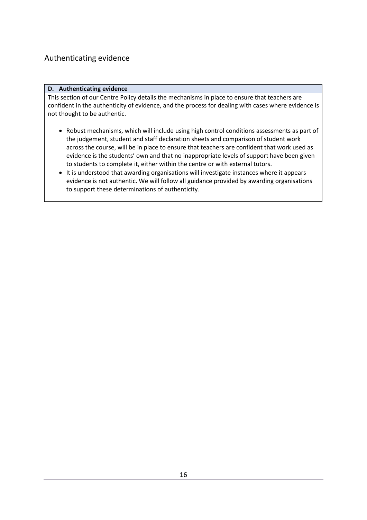## <span id="page-16-0"></span>Authenticating evidence

#### **D. Authenticating evidence**

This section of our Centre Policy details the mechanisms in place to ensure that teachers are confident in the authenticity of evidence, and the process for dealing with cases where evidence is not thought to be authentic.

- Robust mechanisms, which will include using high control conditions assessments as part of the judgement, student and staff declaration sheets and comparison of student work across the course, will be in place to ensure that teachers are confident that work used as evidence is the students' own and that no inappropriate levels of support have been given to students to complete it, either within the centre or with external tutors.
- It is understood that awarding organisations will investigate instances where it appears evidence is not authentic. We will follow all guidance provided by awarding organisations to support these determinations of authenticity.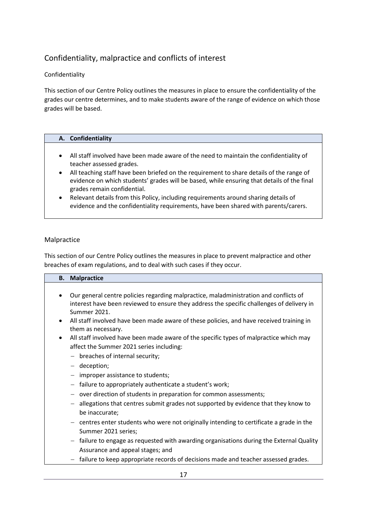## <span id="page-17-0"></span>Confidentiality, malpractice and conflicts of interest

#### Confidentiality

This section of our Centre Policy outlines the measures in place to ensure the confidentiality of the grades our centre determines, and to make students aware of the range of evidence on which those grades will be based.

#### **A. Confidentiality**

- All staff involved have been made aware of the need to maintain the confidentiality of teacher assessed grades.
- All teaching staff have been briefed on the requirement to share details of the range of evidence on which students' grades will be based, while ensuring that details of the final grades remain confidential.
- Relevant details from this Policy, including requirements around sharing details of evidence and the confidentiality requirements, have been shared with parents/carers.

#### Malpractice

This section of our Centre Policy outlines the measures in place to prevent malpractice and other breaches of exam regulations, and to deal with such cases if they occur.

|           | <b>B.</b> Malpractice                                                                      |
|-----------|--------------------------------------------------------------------------------------------|
|           |                                                                                            |
|           | Our general centre policies regarding malpractice, maladministration and conflicts of      |
|           | interest have been reviewed to ensure they address the specific challenges of delivery in  |
|           | Summer 2021.                                                                               |
|           | All staff involved have been made aware of these policies, and have received training in   |
|           | them as necessary.                                                                         |
| $\bullet$ | All staff involved have been made aware of the specific types of malpractice which may     |
|           | affect the Summer 2021 series including:                                                   |
|           | $-$ breaches of internal security;                                                         |
|           | - deception;                                                                               |
|           | $-$ improper assistance to students;                                                       |
|           | failure to appropriately authenticate a student's work;                                    |
|           | over direction of students in preparation for common assessments;                          |
|           | allegations that centres submit grades not supported by evidence that they know to         |
|           | be inaccurate;                                                                             |
|           | $-$ centres enter students who were not originally intending to certificate a grade in the |
|           | Summer 2021 series;                                                                        |
|           | failure to engage as requested with awarding organisations during the External Quality     |
|           | Assurance and appeal stages; and                                                           |

− failure to keep appropriate records of decisions made and teacher assessed grades.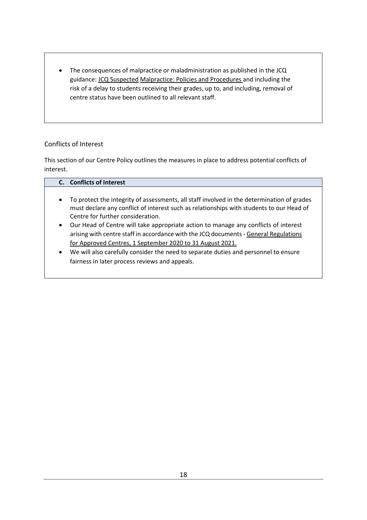• The consequences of malpractice or maladministration as published in the JCQ guidance[: JCQ Suspected](https://www.jcq.org.uk/exams-office/malpractice/jcq-suspected-malpractice-policies-and-procedures-2019-2020) Malpractice: Policies and Procedures and including the risk of a delay to students receiving their grades, up to, and including, removal of centre status have been outlined to all relevant staff.

#### Conflicts of Interest

This section of our Centre Policy outlines the measures in place to address potential conflicts of interest.

|           | C. Conflicts of Interest                                                                                                                                                                                                                 |
|-----------|------------------------------------------------------------------------------------------------------------------------------------------------------------------------------------------------------------------------------------------|
|           |                                                                                                                                                                                                                                          |
| $\bullet$ | To protect the integrity of assessments, all staff involved in the determination of grades<br>must declare any conflict of interest such as relationships with students to our Head of<br>Centre for further consideration.              |
| $\bullet$ | Our Head of Centre will take appropriate action to manage any conflicts of interest<br>arising with centre staff in accordance with the JCQ documents - General Regulations<br>for Approved Centres, 1 September 2020 to 31 August 2021. |
| $\bullet$ | We will also carefully consider the need to separate duties and personnel to ensure<br>fairness in later process reviews and appeals.                                                                                                    |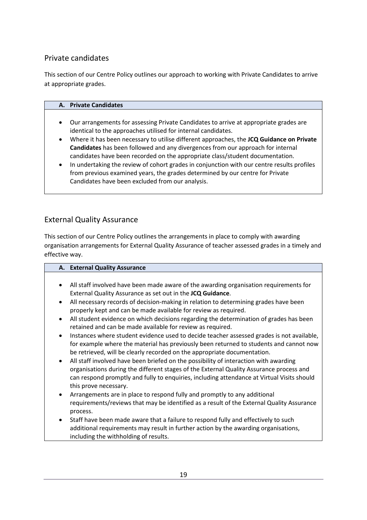## <span id="page-19-0"></span>Private candidates

This section of our Centre Policy outlines our approach to working with Private Candidates to arrive at appropriate grades.

| A. Private Candidates |  |
|-----------------------|--|
|-----------------------|--|

- Our arrangements for assessing Private Candidates to arrive at appropriate grades are identical to the approaches utilised for internal candidates.
- Where it has been necessary to utilise different approaches, the **JCQ Guidance on Private Candidates** has been followed and any divergences from our approach for internal candidates have been recorded on the appropriate class/student documentation.
- In undertaking the review of cohort grades in conjunction with our centre results profiles from previous examined years, the grades determined by our centre for Private Candidates have been excluded from our analysis.

### External Quality Assurance

This section of our Centre Policy outlines the arrangements in place to comply with awarding organisation arrangements for External Quality Assurance of teacher assessed grades in a timely and effective way.

|           | A. External Quality Assurance                                                              |
|-----------|--------------------------------------------------------------------------------------------|
|           |                                                                                            |
| $\bullet$ | All staff involved have been made aware of the awarding organisation requirements for      |
|           | External Quality Assurance as set out in the JCQ Guidance.                                 |
| $\bullet$ | All necessary records of decision-making in relation to determining grades have been       |
|           | properly kept and can be made available for review as required.                            |
| $\bullet$ | All student evidence on which decisions regarding the determination of grades has been     |
|           | retained and can be made available for review as required.                                 |
| $\bullet$ | Instances where student evidence used to decide teacher assessed grades is not available,  |
|           | for example where the material has previously been returned to students and cannot now     |
|           | be retrieved, will be clearly recorded on the appropriate documentation.                   |
| $\bullet$ | All staff involved have been briefed on the possibility of interaction with awarding       |
|           | organisations during the different stages of the External Quality Assurance process and    |
|           | can respond promptly and fully to enquiries, including attendance at Virtual Visits should |
|           | this prove necessary.                                                                      |
| $\bullet$ | Arrangements are in place to respond fully and promptly to any additional                  |
|           | requirements/reviews that may be identified as a result of the External Quality Assurance  |
|           | process.                                                                                   |
| $\bullet$ | Staff have been made aware that a failure to respond fully and effectively to such         |
|           | additional requirements may result in further action by the awarding organisations,        |
|           | including the withholding of results.                                                      |
|           |                                                                                            |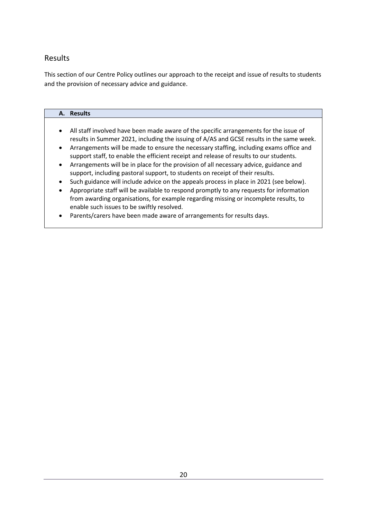### <span id="page-20-0"></span>Results

This section of our Centre Policy outlines our approach to the receipt and issue of results to students and the provision of necessary advice and guidance.

## **A. Results** • All staff involved have been made aware of the specific arrangements for the issue of results in Summer 2021, including the issuing of A/AS and GCSE results in the same week. • Arrangements will be made to ensure the necessary staffing, including exams office and support staff, to enable the efficient receipt and release of results to our students. • Arrangements will be in place for the provision of all necessary advice, guidance and support, including pastoral support, to students on receipt of their results. • Such guidance will include advice on the appeals process in place in 2021 (see below). • Appropriate staff will be available to respond promptly to any requests for information from awarding organisations, for example regarding missing or incomplete results, to enable such issues to be swiftly resolved. • Parents/carers have been made aware of arrangements for results days.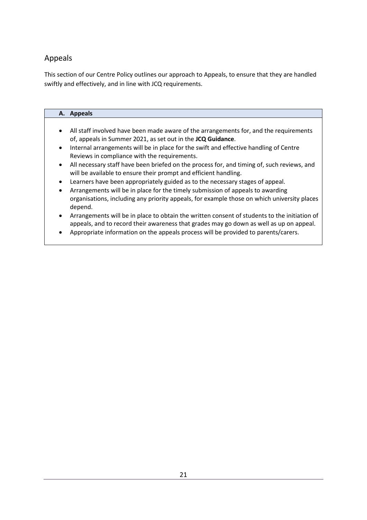## <span id="page-21-0"></span>Appeals

This section of our Centre Policy outlines our approach to Appeals, to ensure that they are handled swiftly and effectively, and in line with JCQ requirements.

## **A. Appeals** • All staff involved have been made aware of the arrangements for, and the requirements of, appeals in Summer 2021, as set out in the **JCQ Guidance**.

- Internal arrangements will be in place for the swift and effective handling of Centre Reviews in compliance with the requirements.
- All necessary staff have been briefed on the process for, and timing of, such reviews, and will be available to ensure their prompt and efficient handling.
- Learners have been appropriately guided as to the necessary stages of appeal.
- Arrangements will be in place for the timely submission of appeals to awarding organisations, including any priority appeals, for example those on which university places depend.
- Arrangements will be in place to obtain the written consent of students to the initiation of appeals, and to record their awareness that grades may go down as well as up on appeal.
- Appropriate information on the appeals process will be provided to parents/carers.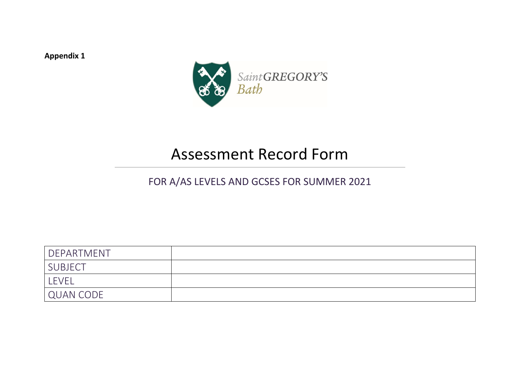**Appendix 1**



# Assessment Record Form

## FOR A/AS LEVELS AND GCSES FOR SUMMER 2021

<span id="page-22-0"></span>

| DEPARTMENT     |  |
|----------------|--|
| <b>SUBJECT</b> |  |
| <b>LEVEL</b>   |  |
| QUAN CODE      |  |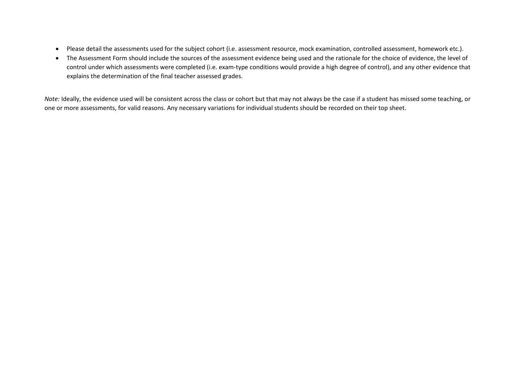- Please detail the assessments used for the subject cohort (i.e. assessment resource, mock examination, controlled assessment, homework etc.).
- The Assessment Form should include the sources of the assessment evidence being used and the rationale for the choice of evidence, the level of control under which assessments were completed (i.e. exam-type conditions would provide a high degree of control), and any other evidence that explains the determination of the final teacher assessed grades.

*Note:* Ideally, the evidence used will be consistent across the class or cohort but that may not always be the case if a student has missed some teaching, or one or more assessments, for valid reasons. Any necessary variations for individual students should be recorded on their top sheet.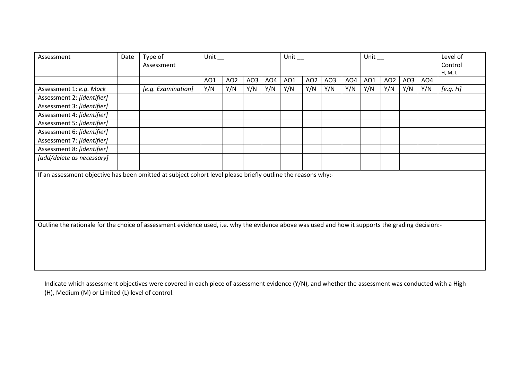| Assessment                                                                                                   | Date                                                                                                                                              | Type of<br>Assessment | Unit $\_$ |                 |     | Unit $\_$ |     |                 |     | Unit $\_$ |     |                 |     | Level of<br>Control<br>H, M, L |          |
|--------------------------------------------------------------------------------------------------------------|---------------------------------------------------------------------------------------------------------------------------------------------------|-----------------------|-----------|-----------------|-----|-----------|-----|-----------------|-----|-----------|-----|-----------------|-----|--------------------------------|----------|
|                                                                                                              |                                                                                                                                                   |                       | AO1       | AO <sub>2</sub> | AO3 | AO4       | AO1 | AO <sub>2</sub> | AO3 | AO4       | AO1 | AO <sub>2</sub> | AO3 | AO4                            |          |
| Assessment 1: e.g. Mock                                                                                      |                                                                                                                                                   | [e.g. Examination]    | Y/N       | Y/N             | Y/N | Y/N       | Y/N | Y/N             | Y/N | Y/N       | Y/N | Y/N             | Y/N | Y/N                            | [e.g. H] |
| Assessment 2: [identifier]                                                                                   |                                                                                                                                                   |                       |           |                 |     |           |     |                 |     |           |     |                 |     |                                |          |
| Assessment 3: [identifier]                                                                                   |                                                                                                                                                   |                       |           |                 |     |           |     |                 |     |           |     |                 |     |                                |          |
| Assessment 4: [identifier]                                                                                   |                                                                                                                                                   |                       |           |                 |     |           |     |                 |     |           |     |                 |     |                                |          |
| Assessment 5: [identifier]                                                                                   |                                                                                                                                                   |                       |           |                 |     |           |     |                 |     |           |     |                 |     |                                |          |
| Assessment 6: [identifier]                                                                                   |                                                                                                                                                   |                       |           |                 |     |           |     |                 |     |           |     |                 |     |                                |          |
| Assessment 7: [identifier]                                                                                   |                                                                                                                                                   |                       |           |                 |     |           |     |                 |     |           |     |                 |     |                                |          |
| Assessment 8: [identifier]                                                                                   |                                                                                                                                                   |                       |           |                 |     |           |     |                 |     |           |     |                 |     |                                |          |
| [add/delete as necessary]                                                                                    |                                                                                                                                                   |                       |           |                 |     |           |     |                 |     |           |     |                 |     |                                |          |
|                                                                                                              |                                                                                                                                                   |                       |           |                 |     |           |     |                 |     |           |     |                 |     |                                |          |
| If an assessment objective has been omitted at subject cohort level please briefly outline the reasons why:- |                                                                                                                                                   |                       |           |                 |     |           |     |                 |     |           |     |                 |     |                                |          |
|                                                                                                              |                                                                                                                                                   |                       |           |                 |     |           |     |                 |     |           |     |                 |     |                                |          |
|                                                                                                              |                                                                                                                                                   |                       |           |                 |     |           |     |                 |     |           |     |                 |     |                                |          |
|                                                                                                              |                                                                                                                                                   |                       |           |                 |     |           |     |                 |     |           |     |                 |     |                                |          |
|                                                                                                              |                                                                                                                                                   |                       |           |                 |     |           |     |                 |     |           |     |                 |     |                                |          |
|                                                                                                              |                                                                                                                                                   |                       |           |                 |     |           |     |                 |     |           |     |                 |     |                                |          |
|                                                                                                              | Outline the rationale for the choice of assessment evidence used, i.e. why the evidence above was used and how it supports the grading decision:- |                       |           |                 |     |           |     |                 |     |           |     |                 |     |                                |          |
|                                                                                                              |                                                                                                                                                   |                       |           |                 |     |           |     |                 |     |           |     |                 |     |                                |          |
|                                                                                                              |                                                                                                                                                   |                       |           |                 |     |           |     |                 |     |           |     |                 |     |                                |          |
|                                                                                                              |                                                                                                                                                   |                       |           |                 |     |           |     |                 |     |           |     |                 |     |                                |          |
|                                                                                                              |                                                                                                                                                   |                       |           |                 |     |           |     |                 |     |           |     |                 |     |                                |          |
|                                                                                                              |                                                                                                                                                   |                       |           |                 |     |           |     |                 |     |           |     |                 |     |                                |          |

Indicate which assessment objectives were covered in each piece of assessment evidence (Y/N), and whether the assessment was conducted with a High (H), Medium (M) or Limited (L) level of control.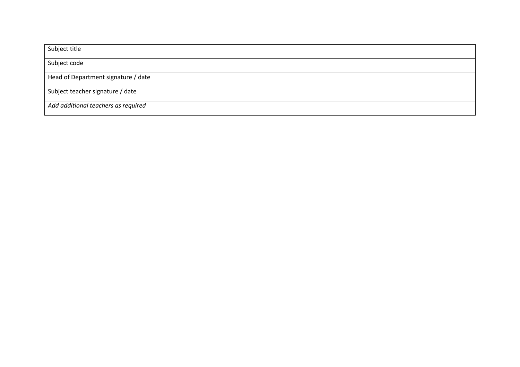| Subject title                       |  |
|-------------------------------------|--|
| Subject code                        |  |
| Head of Department signature / date |  |
| Subject teacher signature / date    |  |
| Add additional teachers as required |  |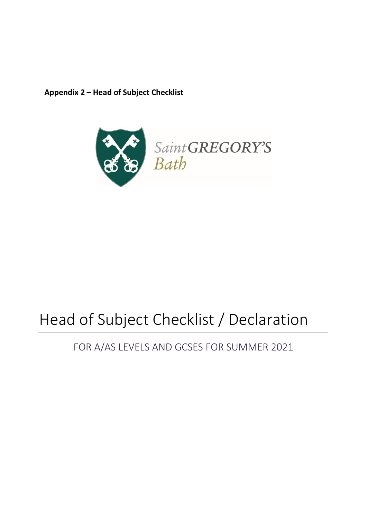<span id="page-26-0"></span>**Appendix 2 – Head of Subject Checklist**



# Head of Subject Checklist / Declaration

# FOR A/AS LEVELS AND GCSES FOR SUMMER 2021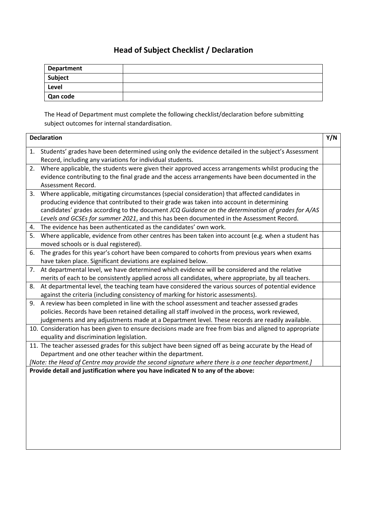## **Head of Subject Checklist / Declaration**

| <b>Department</b> |  |
|-------------------|--|
| Subject           |  |
| Level             |  |
| Qan code          |  |

The Head of Department must complete the following checklist/declaration before submitting subject outcomes for internal standardisation.

| <b>Declaration</b> |                                                                                                         |  |  |  |  |
|--------------------|---------------------------------------------------------------------------------------------------------|--|--|--|--|
| 1.                 | Students' grades have been determined using only the evidence detailed in the subject's Assessment      |  |  |  |  |
|                    | Record, including any variations for individual students.                                               |  |  |  |  |
| 2.                 | Where applicable, the students were given their approved access arrangements whilst producing the       |  |  |  |  |
|                    | evidence contributing to the final grade and the access arrangements have been documented in the        |  |  |  |  |
|                    | Assessment Record.                                                                                      |  |  |  |  |
| 3.                 | Where applicable, mitigating circumstances (special consideration) that affected candidates in          |  |  |  |  |
|                    | producing evidence that contributed to their grade was taken into account in determining                |  |  |  |  |
|                    | candidates' grades according to the document JCQ Guidance on the determination of grades for A/AS       |  |  |  |  |
|                    | Levels and GCSEs for summer 2021, and this has been documented in the Assessment Record.                |  |  |  |  |
| 4.                 | The evidence has been authenticated as the candidates' own work.                                        |  |  |  |  |
| 5.                 | Where applicable, evidence from other centres has been taken into account (e.g. when a student has      |  |  |  |  |
|                    | moved schools or is dual registered).                                                                   |  |  |  |  |
| 6.                 | The grades for this year's cohort have been compared to cohorts from previous years when exams          |  |  |  |  |
|                    | have taken place. Significant deviations are explained below.                                           |  |  |  |  |
| 7.                 | At departmental level, we have determined which evidence will be considered and the relative            |  |  |  |  |
|                    | merits of each to be consistently applied across all candidates, where appropriate, by all teachers.    |  |  |  |  |
| 8.                 | At departmental level, the teaching team have considered the various sources of potential evidence      |  |  |  |  |
|                    | against the criteria (including consistency of marking for historic assessments).                       |  |  |  |  |
|                    | 9. A review has been completed in line with the school assessment and teacher assessed grades           |  |  |  |  |
|                    | policies. Records have been retained detailing all staff involved in the process, work reviewed,        |  |  |  |  |
|                    | judgements and any adjustments made at a Department level. These records are readily available.         |  |  |  |  |
|                    | 10. Consideration has been given to ensure decisions made are free from bias and aligned to appropriate |  |  |  |  |
|                    | equality and discrimination legislation.                                                                |  |  |  |  |
|                    | 11. The teacher assessed grades for this subject have been signed off as being accurate by the Head of  |  |  |  |  |
|                    | Department and one other teacher within the department.                                                 |  |  |  |  |
|                    | [Note: the Head of Centre may provide the second signature where there is a one teacher department.]    |  |  |  |  |
|                    | Provide detail and justification where you have indicated N to any of the above:                        |  |  |  |  |
|                    |                                                                                                         |  |  |  |  |
|                    |                                                                                                         |  |  |  |  |
|                    |                                                                                                         |  |  |  |  |
|                    |                                                                                                         |  |  |  |  |
|                    |                                                                                                         |  |  |  |  |
|                    |                                                                                                         |  |  |  |  |
|                    |                                                                                                         |  |  |  |  |
|                    |                                                                                                         |  |  |  |  |
|                    |                                                                                                         |  |  |  |  |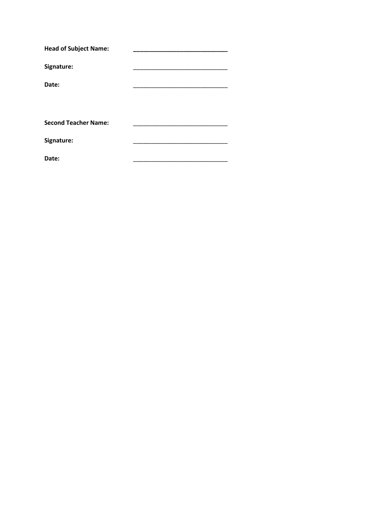| <b>Head of Subject Name:</b> |  |  |  |
|------------------------------|--|--|--|
| Signature:                   |  |  |  |
| Date:                        |  |  |  |
|                              |  |  |  |
|                              |  |  |  |
| <b>Second Teacher Name:</b>  |  |  |  |
| Signature:                   |  |  |  |
| Date:                        |  |  |  |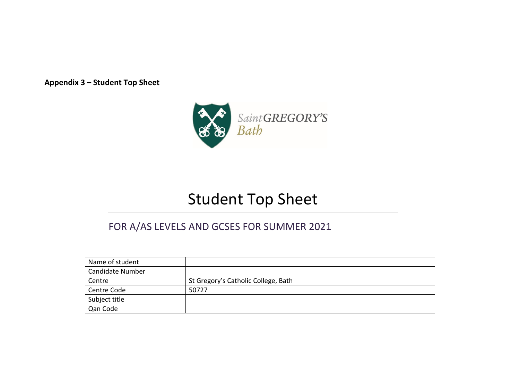**Appendix 3 – Student Top Sheet**



# Student Top Sheet

## FOR A/AS LEVELS AND GCSES FOR SUMMER 2021

<span id="page-29-0"></span>

| Name of student         |                                     |
|-------------------------|-------------------------------------|
| <b>Candidate Number</b> |                                     |
| Centre                  | St Gregory's Catholic College, Bath |
| Centre Code             | 50727                               |
| Subject title           |                                     |
| Qan Code                |                                     |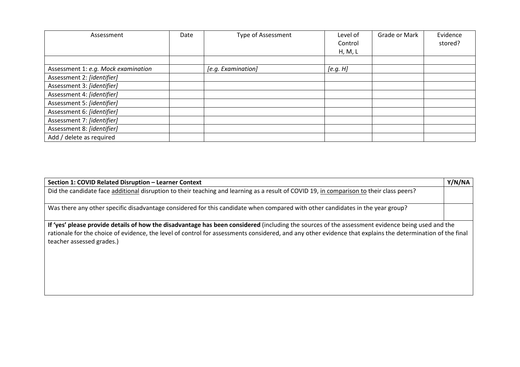| Assessment                          | Date | <b>Type of Assessment</b> | Level of | Grade or Mark | Evidence |
|-------------------------------------|------|---------------------------|----------|---------------|----------|
|                                     |      |                           | Control  |               | stored?  |
|                                     |      |                           | H, M, L  |               |          |
|                                     |      |                           |          |               |          |
| Assessment 1: e.g. Mock examination |      | [e.g. Examination]        | [e.g. H] |               |          |
| Assessment 2: [identifier]          |      |                           |          |               |          |
| Assessment 3: [identifier]          |      |                           |          |               |          |
| Assessment 4: [identifier]          |      |                           |          |               |          |
| Assessment 5: [identifier]          |      |                           |          |               |          |
| Assessment 6: [identifier]          |      |                           |          |               |          |
| Assessment 7: [identifier]          |      |                           |          |               |          |
| Assessment 8: [identifier]          |      |                           |          |               |          |
| Add / delete as required            |      |                           |          |               |          |

| Section 1: COVID Related Disruption - Learner Context                                                                                                                                                                                                                                                                                       | Y/N/NA |
|---------------------------------------------------------------------------------------------------------------------------------------------------------------------------------------------------------------------------------------------------------------------------------------------------------------------------------------------|--------|
| Did the candidate face additional disruption to their teaching and learning as a result of COVID 19, in comparison to their class peers?                                                                                                                                                                                                    |        |
| Was there any other specific disadvantage considered for this candidate when compared with other candidates in the year group?                                                                                                                                                                                                              |        |
| If 'yes' please provide details of how the disadvantage has been considered (including the sources of the assessment evidence being used and the<br>rationale for the choice of evidence, the level of control for assessments considered, and any other evidence that explains the determination of the final<br>teacher assessed grades.) |        |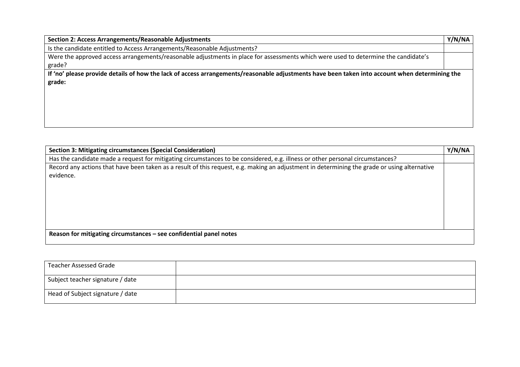| Section 2: Access Arrangements/Reasonable Adjustments                                                                                          | Y/N/NA |
|------------------------------------------------------------------------------------------------------------------------------------------------|--------|
| Is the candidate entitled to Access Arrangements/Reasonable Adjustments?                                                                       |        |
| Were the approved access arrangements/reasonable adjustments in place for assessments which were used to determine the candidate's             |        |
| grade?                                                                                                                                         |        |
| If 'no' please provide details of how the lack of access arrangements/reasonable adjustments have been taken into account when determining the |        |
| grade:                                                                                                                                         |        |
|                                                                                                                                                |        |
|                                                                                                                                                |        |
|                                                                                                                                                |        |
|                                                                                                                                                |        |
|                                                                                                                                                |        |

| Section 3: Mitigating circumstances (Special Consideration)                                                                                  | Y/N/NA |
|----------------------------------------------------------------------------------------------------------------------------------------------|--------|
| Has the candidate made a request for mitigating circumstances to be considered, e.g. illness or other personal circumstances?                |        |
| Record any actions that have been taken as a result of this request, e.g. making an adjustment in determining the grade or using alternative |        |
| evidence.                                                                                                                                    |        |
|                                                                                                                                              |        |
|                                                                                                                                              |        |
|                                                                                                                                              |        |
|                                                                                                                                              |        |
|                                                                                                                                              |        |
|                                                                                                                                              |        |
| Reason for mitigating circumstances – see confidential panel notes                                                                           |        |
|                                                                                                                                              |        |

| <b>Teacher Assessed Grade</b>    |  |
|----------------------------------|--|
| Subject teacher signature / date |  |
| Head of Subject signature / date |  |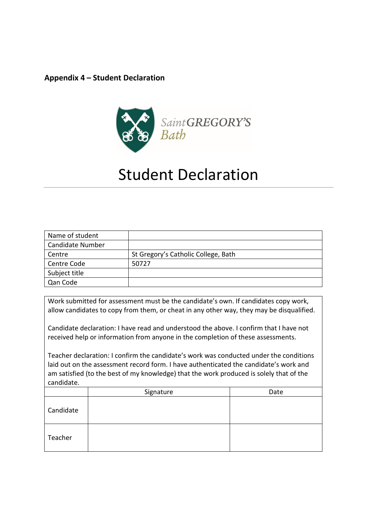#### <span id="page-32-0"></span>**Appendix 4 – Student Declaration**



# Student Declaration

| Name of student         |                                     |
|-------------------------|-------------------------------------|
| <b>Candidate Number</b> |                                     |
| Centre                  | St Gregory's Catholic College, Bath |
| Centre Code             | 50727                               |
| Subject title           |                                     |
| Qan Code                |                                     |

Work submitted for assessment must be the candidate's own. If candidates copy work, allow candidates to copy from them, or cheat in any other way, they may be disqualified.

Candidate declaration: I have read and understood the above. I confirm that I have not received help or information from anyone in the completion of these assessments.

Teacher declaration: I confirm the candidate's work was conducted under the conditions laid out on the assessment record form. I have authenticated the candidate's work and am satisfied (to the best of my knowledge) that the work produced is solely that of the candidate.

<span id="page-32-1"></span>

|           | Signature | Date |
|-----------|-----------|------|
| Candidate |           |      |
| Teacher   |           |      |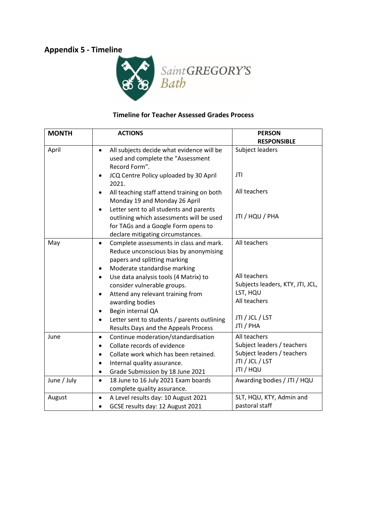## **Appendix 5 - Timeline**



#### **Timeline for Teacher Assessed Grades Process**

| <b>MONTH</b> | <b>ACTIONS</b>                                                                                                                                                                                                                          | <b>PERSON</b>                                                                                                |
|--------------|-----------------------------------------------------------------------------------------------------------------------------------------------------------------------------------------------------------------------------------------|--------------------------------------------------------------------------------------------------------------|
|              |                                                                                                                                                                                                                                         | <b>RESPONSIBLE</b>                                                                                           |
| April        | All subjects decide what evidence will be<br>$\bullet$<br>used and complete the "Assessment<br>Record Form".                                                                                                                            | Subject leaders                                                                                              |
|              | JCQ Centre Policy uploaded by 30 April<br>$\bullet$<br>2021.                                                                                                                                                                            | <b>JTI</b>                                                                                                   |
|              | All teaching staff attend training on both<br>Monday 19 and Monday 26 April                                                                                                                                                             | All teachers                                                                                                 |
|              | Letter sent to all students and parents<br>$\bullet$<br>outlining which assessments will be used<br>for TAGs and a Google Form opens to<br>declare mitigating circumstances.                                                            | JTI / HQU / PHA                                                                                              |
| May          | Complete assessments in class and mark.<br>$\bullet$<br>Reduce unconscious bias by anonymising<br>papers and splitting marking<br>Moderate standardise marking                                                                          | All teachers                                                                                                 |
|              | Use data analysis tools (4 Matrix) to<br>$\bullet$<br>consider vulnerable groups.<br>Attend any relevant training from<br>awarding bodies<br>Begin internal QA<br>$\bullet$<br>Letter sent to students / parents outlining<br>$\bullet$ | All teachers<br>Subjects leaders, KTY, JTI, JCL,<br>LST, HQU<br>All teachers<br>JTI / JCL / LST<br>JTI / PHA |
| June         | Results Days and the Appeals Process<br>Continue moderation/standardisation<br>$\bullet$<br>Collate records of evidence<br>$\bullet$<br>Collate work which has been retained.<br>$\bullet$                                              | All teachers<br>Subject leaders / teachers<br>Subject leaders / teachers                                     |
|              | Internal quality assurance.<br>$\bullet$<br>Grade Submission by 18 June 2021<br>$\bullet$                                                                                                                                               | JTI / JCL / LST<br>JTI / HQU                                                                                 |
| June / July  | 18 June to 16 July 2021 Exam boards<br>$\bullet$<br>complete quality assurance.                                                                                                                                                         | Awarding bodies / JTI / HQU                                                                                  |
| August       | A Level results day: 10 August 2021<br>$\bullet$<br>GCSE results day: 12 August 2021                                                                                                                                                    | SLT, HQU, KTY, Admin and<br>pastoral staff                                                                   |